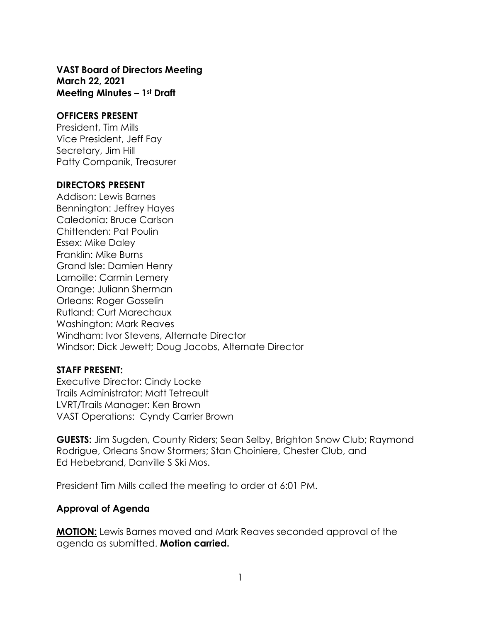#### **VAST Board of Directors Meeting March 22, 2021 Meeting Minutes – 1st Draft**

#### **OFFICERS PRESENT**

President, Tim Mills Vice President, Jeff Fay Secretary, Jim Hill Patty Companik, Treasurer

#### **DIRECTORS PRESENT**

Addison: Lewis Barnes Bennington: Jeffrey Hayes Caledonia: Bruce Carlson Chittenden: Pat Poulin Essex: Mike Daley Franklin: Mike Burns Grand Isle: Damien Henry Lamoille: Carmin Lemery Orange: Juliann Sherman Orleans: Roger Gosselin Rutland: Curt Marechaux Washington: Mark Reaves Windham: Ivor Stevens, Alternate Director Windsor: Dick Jewett; Doug Jacobs, Alternate Director

#### **STAFF PRESENT:**

Executive Director: Cindy Locke Trails Administrator: Matt Tetreault LVRT/Trails Manager: Ken Brown VAST Operations: Cyndy Carrier Brown

**GUESTS:** Jim Sugden, County Riders; Sean Selby, Brighton Snow Club; Raymond Rodrigue, Orleans Snow Stormers; Stan Choiniere, Chester Club, and Ed Hebebrand, Danville S Ski Mos.

President Tim Mills called the meeting to order at 6:01 PM.

### **Approval of Agenda**

**MOTION:** Lewis Barnes moved and Mark Reaves seconded approval of the agenda as submitted. **Motion carried.**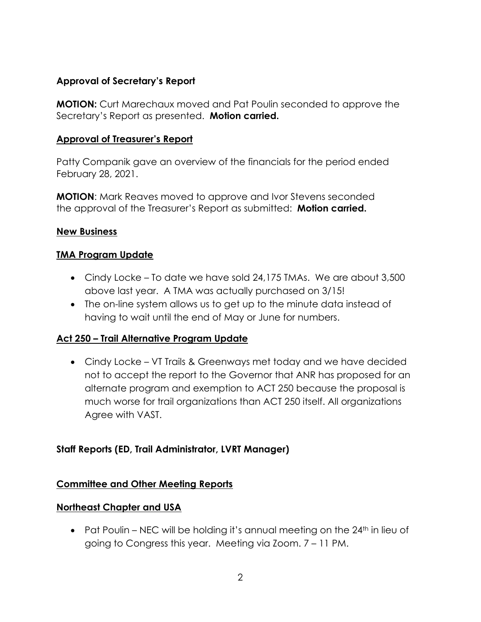### **Approval of Secretary's Report**

**MOTION:** Curt Marechaux moved and Pat Poulin seconded to approve the Secretary's Report as presented. **Motion carried.**

### **Approval of Treasurer's Report**

Patty Companik gave an overview of the financials for the period ended February 28, 2021.

**MOTION**: Mark Reaves moved to approve and Ivor Stevens seconded the approval of the Treasurer's Report as submitted: **Motion carried.**

### **New Business**

### **TMA Program Update**

- Cindy Locke To date we have sold 24,175 TMAs. We are about 3,500 above last year. A TMA was actually purchased on 3/15!
- The on-line system allows us to get up to the minute data instead of having to wait until the end of May or June for numbers.

# **Act 250 – Trail Alternative Program Update**

• Cindy Locke – VT Trails & Greenways met today and we have decided not to accept the report to the Governor that ANR has proposed for an alternate program and exemption to ACT 250 because the proposal is much worse for trail organizations than ACT 250 itself. All organizations Agree with VAST.

### **Staff Reports (ED, Trail Administrator, LVRT Manager)**

### **Committee and Other Meeting Reports**

### **Northeast Chapter and USA**

• Pat Poulin – NEC will be holding it's annual meeting on the  $24<sup>th</sup>$  in lieu of going to Congress this year. Meeting via Zoom. 7 – 11 PM.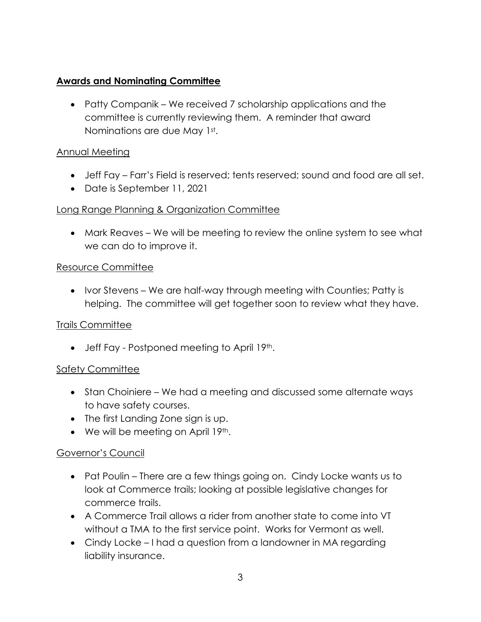# **Awards and Nominating Committee**

• Patty Companik – We received 7 scholarship applications and the committee is currently reviewing them. A reminder that award Nominations are due May 1st.

# Annual Meeting

- Jeff Fay Farr's Field is reserved; tents reserved; sound and food are all set.
- Date is September 11, 2021

# Long Range Planning & Organization Committee

• Mark Reaves – We will be meeting to review the online system to see what we can do to improve it.

### Resource Committee

• Ivor Stevens – We are half-way through meeting with Counties; Patty is helping. The committee will get together soon to review what they have.

# Trails Committee

• Jeff Fay - Postponed meeting to April 19th.

# Safety Committee

- Stan Choiniere We had a meeting and discussed some alternate ways to have safety courses.
- The first Landing Zone sign is up.
- $\bullet$  We will be meeting on April 19<sup>th</sup>.

# Governor's Council

- Pat Poulin There are a few things going on. Cindy Locke wants us to look at Commerce trails; looking at possible legislative changes for commerce trails.
- A Commerce Trail allows a rider from another state to come into VT without a TMA to the first service point. Works for Vermont as well.
- Cindy Locke I had a question from a landowner in MA regarding liability insurance.